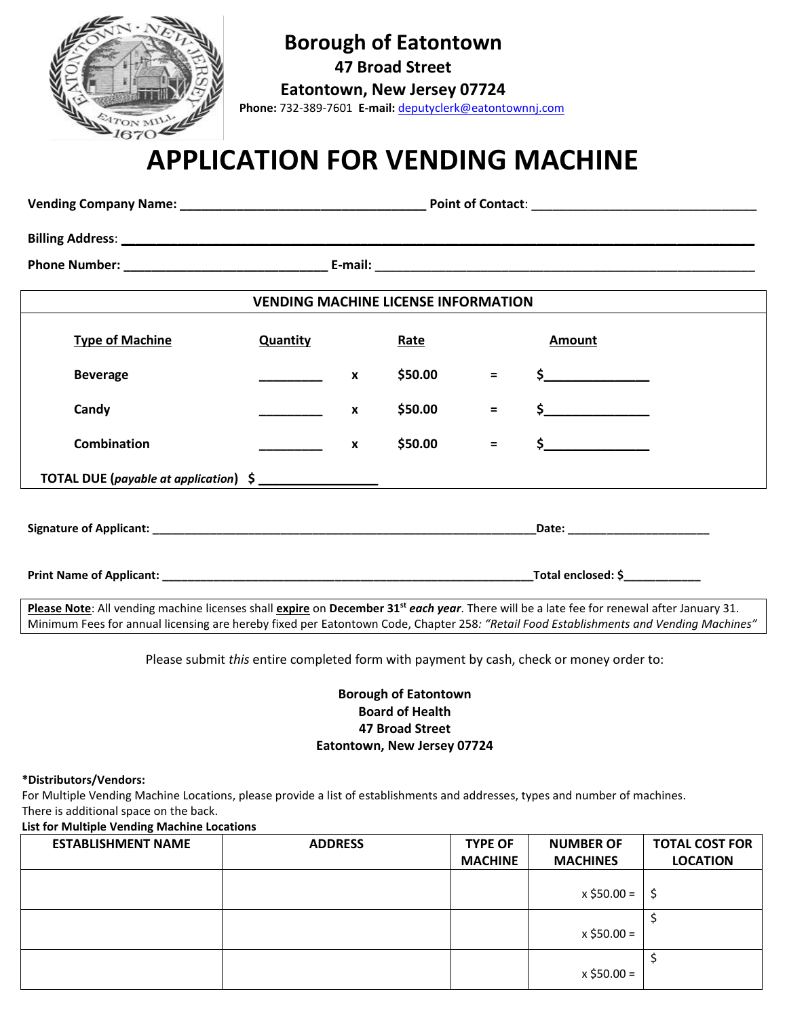

## **Borough of Eatontown**

**47 Broad Street**

**Eatontown, New Jersey 07724** 

 **Phone:** 732-389-7601 **E-mail:** [deputyclerk@eatontownnj.com](mailto:deputyclerk@eatontownnj.com)

# **APPLICATION FOR VENDING MACHINE**

| <b>VENDING MACHINE LICENSE INFORMATION</b> |                 |                  |         |          |                                                                                                                   |  |  |  |  |
|--------------------------------------------|-----------------|------------------|---------|----------|-------------------------------------------------------------------------------------------------------------------|--|--|--|--|
| <b>Type of Machine</b>                     | <b>Quantity</b> |                  | Rate    |          | <b>Amount</b>                                                                                                     |  |  |  |  |
| <b>Beverage</b>                            |                 | x                | \$50.00 | $=$      | $\frac{1}{2}$                                                                                                     |  |  |  |  |
| Candy                                      |                 | $\boldsymbol{x}$ | \$50.00 | $\equiv$ | $\sharp$                                                                                                          |  |  |  |  |
| <b>Combination</b>                         |                 | $\mathbf{x}$     | \$50.00 | $=$      | $\sim$                                                                                                            |  |  |  |  |
|                                            |                 |                  |         |          |                                                                                                                   |  |  |  |  |
|                                            |                 |                  |         |          |                                                                                                                   |  |  |  |  |
|                                            |                 |                  |         |          |                                                                                                                   |  |  |  |  |
|                                            |                 |                  |         |          | المعارب والمراوي والمتحرم والمستورد المستورد والمتحرم والمستحدث والمستورد والمستورد والمستورد والمستورة والمحافظة |  |  |  |  |

**Please Note**: All vending machine licenses shall **expire** on **December 31st** *each year*. There will be a late fee for renewal after January 31. Minimum Fees for annual licensing are hereby fixed per Eatontown Code, Chapter 258*: "Retail Food Establishments and Vending Machines"*

Please submit *this* entire completed form with payment by cash, check or money order to:

#### **Borough of Eatontown Board of Health 47 Broad Street Eatontown, New Jersey 07724**

#### **\*Distributors/Vendors:**

For Multiple Vending Machine Locations, please provide a list of establishments and addresses, types and number of machines. There is additional space on the back.

**List for Multiple Vending Machine Locations**

| <b>ESTABLISHMENT NAME</b> | <b>ADDRESS</b> | <b>TYPE OF</b><br><b>MACHINE</b> | <b>NUMBER OF</b><br><b>MACHINES</b> | <b>TOTAL COST FOR</b><br><b>LOCATION</b> |
|---------------------------|----------------|----------------------------------|-------------------------------------|------------------------------------------|
|                           |                |                                  | x \$50.00 =                         | -S                                       |
|                           |                |                                  | $x$ \$50.00 =                       |                                          |
|                           |                |                                  | $x$ \$50.00 =                       |                                          |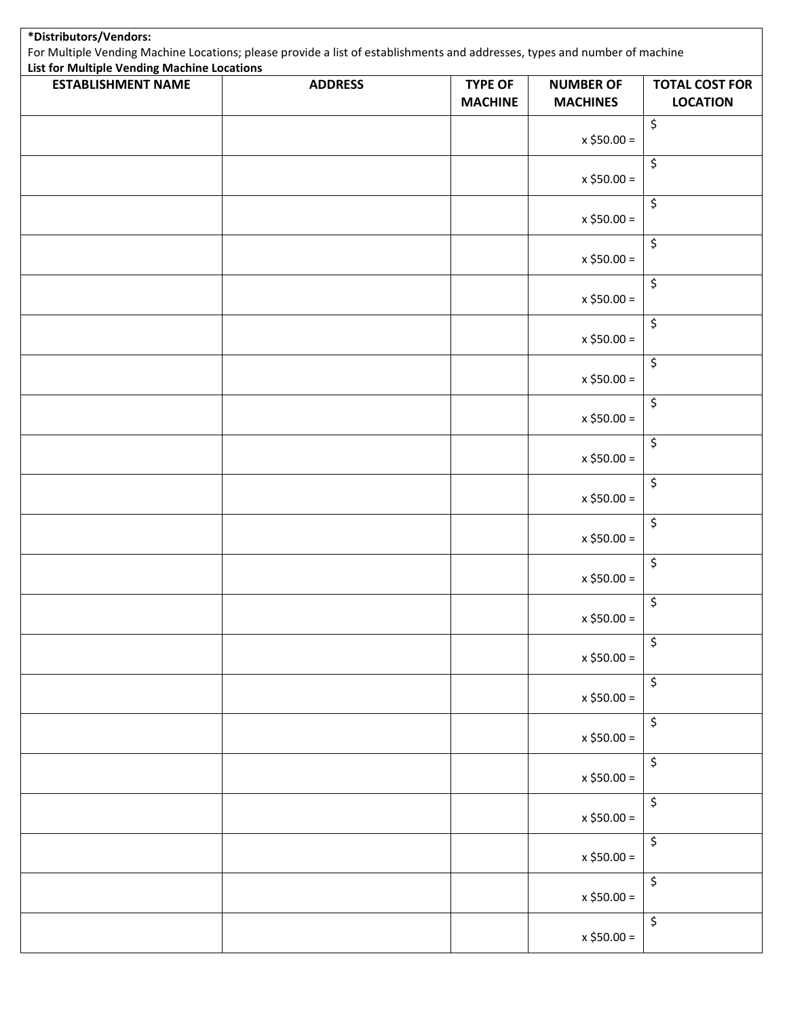| List for Multiple Vending Machine Locations<br><b>ESTABLISHMENT NAME</b> | <b>ADDRESS</b> | <b>TYPE OF</b> | <b>NUMBER OF</b> | <b>TOTAL COST FOR</b>    |
|--------------------------------------------------------------------------|----------------|----------------|------------------|--------------------------|
|                                                                          |                | <b>MACHINE</b> | <b>MACHINES</b>  | <b>LOCATION</b>          |
|                                                                          |                |                | $x $50.00 =$     | $\overline{\mathcal{L}}$ |
|                                                                          |                |                | $x $50.00 =$     | $\overline{\mathcal{L}}$ |
|                                                                          |                |                | $x $50.00 =$     | \$                       |
|                                                                          |                |                | $x $50.00 =$     | \$                       |
|                                                                          |                |                | $x$ \$50.00 =    | \$                       |
|                                                                          |                |                | $x $50.00 =$     | \$                       |
|                                                                          |                |                | $x $50.00 =$     | $\overline{\mathcal{L}}$ |
|                                                                          |                |                | $x $50.00 =$     | \$                       |
|                                                                          |                |                | $x$ \$50.00 =    | \$                       |
|                                                                          |                |                | $x $50.00 =$     | \$                       |
|                                                                          |                |                | $x $50.00 =$     | \$                       |
|                                                                          |                |                | $x $50.00 =$     | $\overline{\mathcal{L}}$ |
|                                                                          |                |                | $x $50.00 =$     | \$                       |
|                                                                          |                |                | $x $50.00 =$     | \$                       |
|                                                                          |                |                | $x $50.00 =$     | $\overline{\mathcal{L}}$ |
|                                                                          |                |                | $x$ \$50.00 =    | $\overline{\mathbf{S}}$  |
|                                                                          |                |                | $x $50.00 =$     | $\overline{\mathcal{L}}$ |
|                                                                          |                |                | $x $50.00 =$     | $\overline{\mathcal{L}}$ |
|                                                                          |                |                | $x $50.00 =$     | $\overline{\mathcal{L}}$ |
|                                                                          |                |                | $x $50.00 =$     | \$                       |
|                                                                          |                |                | $x $50.00 =$     | $\overline{\mathcal{L}}$ |